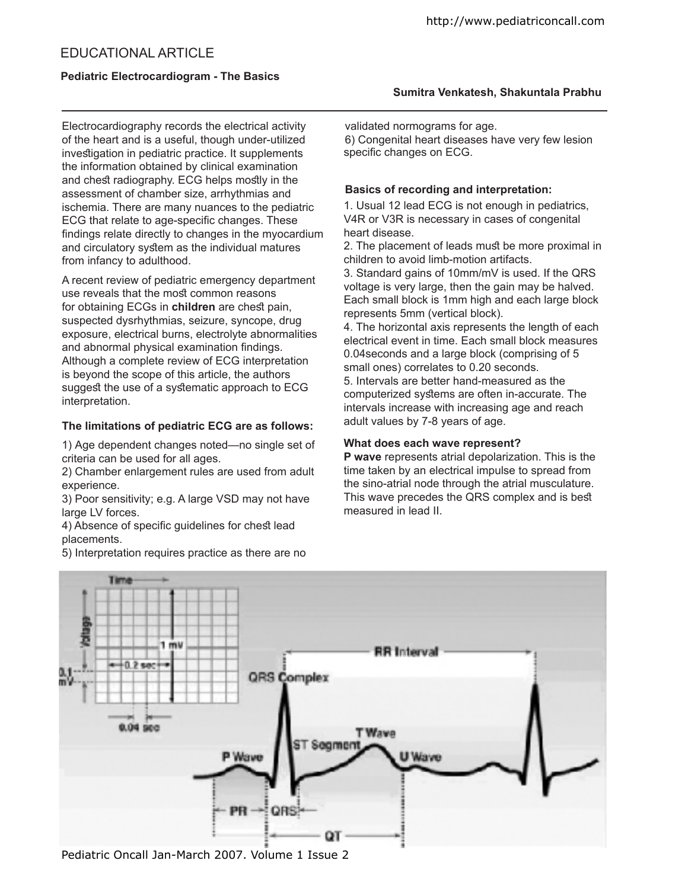Electrocardiography records the electrical activity of the heart and is a useful, though under-utilized investigation in pediatric practice. It supplements the information obtained by clinical examination and chest radiography. ECG helps mostly in the assessment of chamber size, arrhythmias and ischemia. There are many nuances to the pediatric ECG that relate to age-specific changes. These indings relate directly to changes in the myocardium and circulatory sytem as the individual matures from infancy to adulthood.

A recent review of pediatric emergency department use reveals that the most common reasons for obtaining ECGs in **children** are chest pain, suspected dysrhythmias, seizure, syncope, drug exposure, electrical burns, electrolyte abnormalities and abnormal physical examination findings. Although a complete review of ECG interpretation is beyond the scope of this article, the authors suggest the use of a systematic approach to ECG interpretation.

## **The limitations of pediatric ECG are as follows:**

1) Age dependent changes noted—no single set of criteria can be used for all ages.

2) Chamber enlargement rules are used from adult experience.

3) Poor sensitivity; e.g. A large VSD may not have large LV forces.

4) Absence of specific quidelines for chest lead placements.

5) Interpretation requires practice as there are no

http://www.pediatriconcall.com

validated normograms for age. 6) Congenital heart diseases have very few lesion specific changes on ECG.

## **Basics of recording and interpretation:**

1. Usual 12 lead ECG is not enough in pediatrics, V4R or V3R is necessary in cases of congenital heart disease.

2. The placement of leads must be more proximal in children to avoid limb-motion artifacts.

3. Standard gains of 10mm/mV is used. If the QRS voltage is very large, then the gain may be halved. Each small block is 1mm high and each large block represents 5mm (vertical block).

4. The horizontal axis represents the length of each electrical event in time. Each small block measures 0.04seconds and a large block (comprising of 5 small ones) correlates to 0.20 seconds. 5. Intervals are better hand-measured as the computerized sytems are often in-accurate. The intervals increase with increasing age and reach adult values by 7-8 years of age.

### **What does each wave represent?**

**P wave** represents atrial depolarization. This is the time taken by an electrical impulse to spread from the sino-atrial node through the atrial musculature. This wave precedes the QRS complex and is best measured in lead II.



Pediatric Oncall Jan-March 2007. Volume 1 Issue 2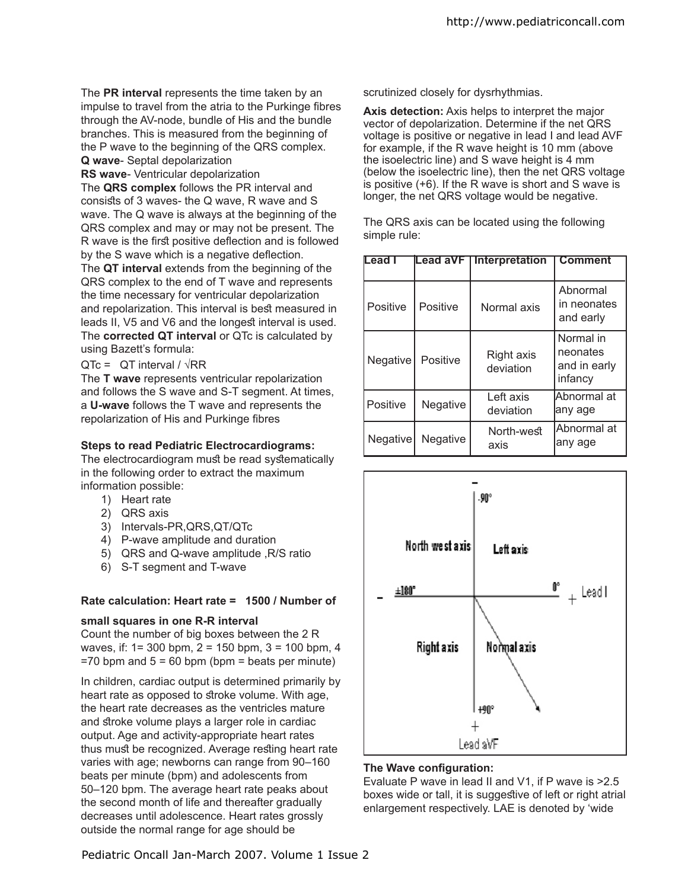The **PR interval** represents the time taken by an impulse to travel from the atria to the Purkinge fibres through the AV-node, bundle of His and the bundle branches. This is measured from the beginning of the P wave to the beginning of the QRS complex. **Q wave**- Septal depolarization

**RS wave**- Ventricular depolarization

The **QRS complex** follows the PR interval and consists of 3 waves- the Q wave, R wave and S wave. The Q wave is always at the beginning of the QRS complex and may or may not be present. The R wave is the first positive deflection and is followed by the S wave which is a negative deflection.

The **QT interval** extends from the beginning of the QRS complex to the end of T wave and represents the time necessary for ventricular depolarization and repolarization. This interval is best measured in leads II, V5 and V6 and the longest interval is used. The **corrected QT interval** or QTc is calculated by using Bazett's formula:

 $QTe = QT$  interval /  $\sqrt{RR}$ 

The **T wave** represents ventricular repolarization and follows the S wave and S-T segment. At times, a **U-wave** follows the T wave and represents the repolarization of His and Purkinge fibres

#### **Steps to read Pediatric Electrocardiograms:**

The electrocardiogram must be read systematically in the following order to extract the maximum information possible:

- 1) Heart rate
- 2) QRS axis
- 3) Intervals-PR,QRS,QT/QTc
- 4) P-wave amplitude and duration
- 5) QRS and Q-wave amplitude ,R/S ratio
- 6) S-T segment and T-wave

## **Rate calculation: Heart rate = 1500 / Number of**

#### **small squares in one R-R interval**

Count the number of big boxes between the 2 R waves, if: 1= 300 bpm, 2 = 150 bpm, 3 = 100 bpm, 4  $=70$  bpm and  $5 = 60$  bpm (bpm = beats per minute)

In children, cardiac output is determined primarily by heart rate as opposed to stroke volume. With age, the heart rate decreases as the ventricles mature and stroke volume plays a larger role in cardiac output. Age and activity-appropriate heart rates thus must be recognized. Average resting heart rate varies with age; newborns can range from 90–160 beats per minute (bpm) and adolescents from 50–120 bpm. The average heart rate peaks about the second month of life and thereafter gradually decreases until adolescence. Heart rates grossly outside the normal range for age should be

scrutinized closely for dysrhythmias.

**Axis detection:** Axis helps to interpret the major vector of depolarization. Determine if the net QRS voltage is positive or negative in lead I and lead AVF for example, if the R wave height is 10 mm (above the isoelectric line) and S wave height is 4 mm (below the isoelectric line), then the net QRS voltage is positive (+6). If the R wave is short and S wave is longer, the net QRS voltage would be negative.

The QRS axis can be located using the following simple rule:

| lLead I  | Lead aVF        | Interpretation                 | <b>Comment</b>                                   |  |  |
|----------|-----------------|--------------------------------|--------------------------------------------------|--|--|
| Positive | Positive        | Normal axis                    | Abnormal<br>in neonates<br>and early             |  |  |
| Negative | Positive        | <b>Right axis</b><br>deviation | Normal in<br>neonates<br>and in early<br>infancy |  |  |
| Positive | Negative        | Left axis<br>deviation         | lAbnormal at<br>lany age                         |  |  |
| Negative | <b>Negative</b> | North-west<br>axis             | lAbnormal at<br>any age                          |  |  |



## **The Wave configuration:**

Evaluate P wave in lead II and V1, if P wave is >2.5 boxes wide or tall, it is suggestive of left or right atrial enlargement respectively. LAE is denoted by 'wide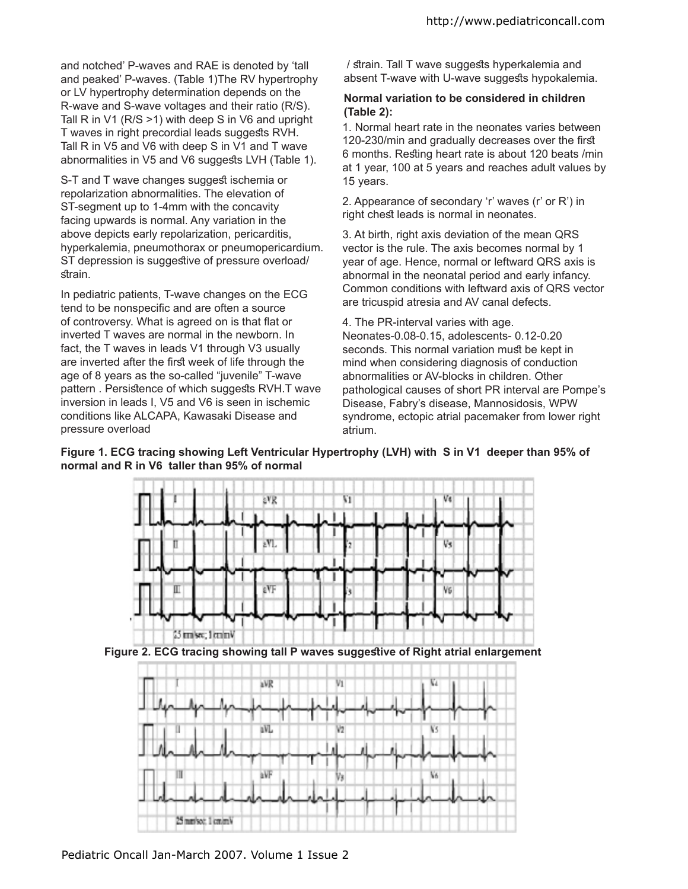and notched' P-waves and RAE is denoted by 'tall and peaked' P-waves. (Table 1)The RV hypertrophy or LV hypertrophy determination depends on the R-wave and S-wave voltages and their ratio (R/S). Tall R in V1 (R/S >1) with deep S in V6 and upright T waves in right precordial leads suggests RVH. Tall R in V5 and V6 with deep S in V1 and T wave abnormalities in V5 and V6 suggests LVH (Table 1).

S-T and T wave changes suggest ischemia or repolarization abnormalities. The elevation of ST-segment up to 1-4mm with the concavity facing upwards is normal. Any variation in the above depicts early repolarization, pericarditis, hyperkalemia, pneumothorax or pneumopericardium. ST depression is suggestive of pressure overload/ strain.

In pediatric patients, T-wave changes on the ECG tend to be nonspecific and are often a source of controversy. What is agreed on is that flat or inverted T waves are normal in the newborn. In fact, the T waves in leads V1 through V3 usually are inverted after the first week of life through the age of 8 years as the so-called "juvenile" T-wave pattern . Persistence of which suggests RVH.T wave inversion in leads I, V5 and V6 is seen in ischemic conditions like ALCAPA, Kawasaki Disease and pressure overload

/ strain. Tall T wave suggests hyperkalemia and absent T-wave with U-wave suggests hypokalemia.

## **Normal variation to be considered in children (Table 2):**

1. Normal heart rate in the neonates varies between 120-230/min and gradually decreases over the first 6 months. Resting heart rate is about 120 beats /min at 1 year, 100 at 5 years and reaches adult values by 15 years.

2. Appearance of secondary 'r' waves (r' or R') in right chest leads is normal in neonates.

3. At birth, right axis deviation of the mean QRS vector is the rule. The axis becomes normal by 1 year of age. Hence, normal or leftward QRS axis is abnormal in the neonatal period and early infancy. Common conditions with leftward axis of QRS vector are tricuspid atresia and AV canal defects.

4. The PR-interval varies with age.

Neonates-0.08-0.15, adolescents- 0.12-0.20 seconds. This normal variation must be kept in mind when considering diagnosis of conduction abnormalities or AV-blocks in children. Other pathological causes of short PR interval are Pompe's Disease, Fabry's disease, Mannosidosis, WPW syndrome, ectopic atrial pacemaker from lower right atrium.

**Figure 1. ECG tracing showing Left Ventricular Hypertrophy (LVH) with S in V1 deeper than 95% of normal and R in V6 taller than 95% of normal**



**Figure 2. ECG tracing showing tall P waves suggetive of Right atrial enlargement**

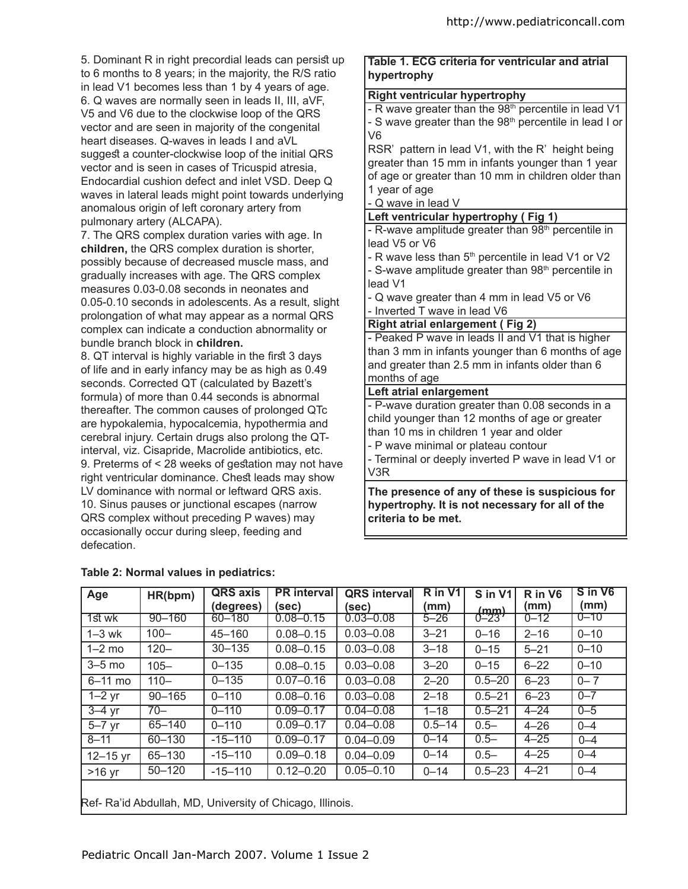5. Dominant R in right precordial leads can persist up to 6 months to 8 years; in the majority, the R/S ratio in lead V1 becomes less than 1 by 4 years of age. 6. Q waves are normally seen in leads II, III, aVF, V5 and V6 due to the clockwise loop of the QRS vector and are seen in majority of the congenital heart diseases. Q-waves in leads I and aVL suggest a counter-clockwise loop of the initial QRS vector and is seen in cases of Tricuspid atresia, Endocardial cushion defect and inlet VSD. Deep Q waves in lateral leads might point towards underlying anomalous origin of left coronary artery from pulmonary artery (ALCAPA).

7. The QRS complex duration varies with age. In **children,** the QRS complex duration is shorter, possibly because of decreased muscle mass, and gradually increases with age. The QRS complex measures 0.03-0.08 seconds in neonates and 0.05-0.10 seconds in adolescents. As a result, slight prolongation of what may appear as a normal QRS complex can indicate a conduction abnormality or bundle branch block in **children.**

8. QT interval is highly variable in the first 3 days of life and in early infancy may be as high as 0.49 seconds. Corrected QT (calculated by Bazett's formula) of more than 0.44 seconds is abnormal thereafter. The common causes of prolonged QTc are hypokalemia, hypocalcemia, hypothermia and cerebral injury. Certain drugs also prolong the QTinterval, viz. Cisapride, Macrolide antibiotics, etc. 9. Preterms of < 28 weeks of gestation may not have right ventricular dominance. Chest leads may show LV dominance with normal or leftward QRS axis. 10. Sinus pauses or junctional escapes (narrow QRS complex without preceding P waves) may occasionally occur during sleep, feeding and defecation.

# **Table 1. ECG criteria for ventricular and atrial hypertrophy**

#### **Right ventricular hypertrophy**

- R wave greater than the 98<sup>th</sup> percentile in lead V1 - S wave greater than the  $98<sup>th</sup>$  percentile in lead I or V6

RSR' pattern in lead V1, with the R' height being greater than 15 mm in infants younger than 1 year of age or greater than 10 mm in children older than 1 year of age

- Q wave in lead V

**Left ventricular hypertrophy ( Fig 1)**

- R-wave amplitude greater than 98<sup>th</sup> percentile in lead V5 or V6

- R wave less than  $5<sup>th</sup>$  percentile in lead V1 or V2

- S-wave amplitude greater than  $98<sup>th</sup>$  percentile in lead V1

- Q wave greater than 4 mm in lead V5 or V6

- Inverted T wave in lead V6

# **Right atrial enlargement ( Fig 2)**

- Peaked P wave in leads II and V1 that is higher than 3 mm in infants younger than 6 months of age and greater than 2.5 mm in infants older than 6 months of age

#### **Left atrial enlargement**

- P-wave duration greater than 0.08 seconds in a child younger than 12 months of age or greater than 10 ms in children 1 year and older

- P wave minimal or plateau contour

- Terminal or deeply inverted P wave in lead V1 or V3R

**The presence of any of these is suspicious for hypertrophy. It is not necessary for all of the criteria to be met.**

| Age                                                       | HR(bpm)    | <b>QRS</b> axis<br>(degrees) | <b>PR</b> interval<br>(sec) | <b>QRS</b> interval<br>(sec) | R in V1<br>(mm) | S in V1<br>(mm) | R in V6<br>(mm) | S in V6<br>(mm) |  |  |
|-----------------------------------------------------------|------------|------------------------------|-----------------------------|------------------------------|-----------------|-----------------|-----------------|-----------------|--|--|
| 1st wk                                                    | $90 - 160$ | 60-180                       | $0.08 - 0.15$               | $0.03 - 0.08$                | $5 - 26$        | $0 - 23'$       | $0 - 12$        | $0 - 10$        |  |  |
| $1 - 3$ wk                                                | $100 -$    | 45-160                       | $0.08 - 0.15$               | $0.03 - 0.08$                | $3 - 21$        | $0 - 16$        | $2 - 16$        | $0 - 10$        |  |  |
| $1-2$ mo                                                  | $120 -$    | $30 - 135$                   | $0.08 - 0.15$               | $0.03 - 0.08$                | $3 - 18$        | $0 - 15$        | $5 - 21$        | $0 - 10$        |  |  |
| $3-5$ mo                                                  | $105 -$    | $0 - 135$                    | $0.08 - 0.15$               | $0.03 - 0.08$                | $3 - 20$        | $0 - 15$        | $6 - 22$        | $0 - 10$        |  |  |
| $6-11$ mo                                                 | $110 -$    | $0 - 135$                    | $0.07 - 0.16$               | $0.03 - 0.08$                | $2 - 20$        | $0.5 - 20$      | $6 - 23$        | $0 - 7$         |  |  |
| $\overline{1-2}$ yr                                       | $90 - 165$ | $0 - 110$                    | $0.08 - 0.16$               | $0.03 - 0.08$                | $2 - 18$        | $0.5 - 21$      | $6 - 23$        | $0 - 7$         |  |  |
| $3-4$ yr                                                  | $70 -$     | $0 - 110$                    | $0.09 - 0.17$               | $0.04 - 0.08$                | $1 - 18$        | $0.5 - 21$      | $4 - 24$        | $0 - 5$         |  |  |
| $5-7$ yr                                                  | 65-140     | $0 - 110$                    | $0.09 - 0.17$               | $0.04 - 0.08$                | $0.5 - 14$      | $0.5 -$         | $4 - 26$        | $0 - 4$         |  |  |
| $8 - 11$                                                  | 60-130     | $-15 - 110$                  | $0.09 - 0.17$               | $0.04 - 0.09$                | $0 - 14$        | $0.5 -$         | $4 - 25$        | $0 - 4$         |  |  |
| $12 - 15$ yr                                              | 65-130     | $-15 - 110$                  | $0.09 - 0.18$               | $0.04 - 0.09$                | $0 - 14$        | $0.5 -$         | $4 - 25$        | $0 - 4$         |  |  |
| $>16$ yr                                                  | $50 - 120$ | $-15 - 110$                  | $0.12 - 0.20$               | $0.05 - 0.10$                | $0 - 14$        | $0.5 - 23$      | $4 - 21$        | $0 - 4$         |  |  |
| Ref- Ra'id Abdullah, MD, University of Chicago, Illinois. |            |                              |                             |                              |                 |                 |                 |                 |  |  |

#### **Table 2: Normal values in pediatrics:**